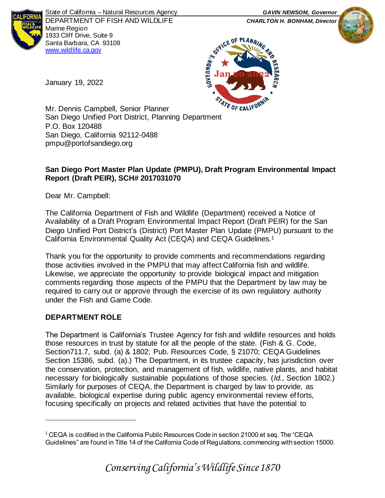

State of California – Natural Resources Agency *GAVIN NEWSOM, Governor* DEPARTMENT OF FISH AND WILDLIFE *CHARLTON H. BONHAM, Director*  Marine Region 1933 Cliff Drive, Suite 9 Santa Barbara, CA 93109 [www.wildlife.ca.gov](http://www.wildlife.ca.gov/)





January 19, 2022

Mr. Dennis Campbell, Senior Planner <sup>47</sup> Mr. Dennis Campbell, Senior Planner<br>San Diego Unified Port District, Planning Department P.O. Box 120488 San Diego, California 92112-0488 pmpu@portofsandiego.org

## **San Diego Port Master Plan Update (PMPU), Draft Program Environmental Impact Report (Draft PEIR), SCH# 2017031070**

Dear Mr. Campbell:

The California Department of Fish and Wildlife (Department) received a Notice of Availability of a Draft Program Environmental Impact Report (Draft PEIR) for the San Diego Unified Port District's (District) Port Master Plan Update (PMPU) pursuant to the California Environmental Quality Act (CEQA) and CEQA Guidelines.<sup>1</sup>

Thank you for the opportunity to provide comments and recommendations regarding those activities involved in the PMPU that may affect California fish and wildlife. Likewise, we appreciate the opportunity to provide biological impact and mitigation comments regarding those aspects of the PMPU that the Department by law may be required to carry out or approve through the exercise of its own regulatory authority under the Fish and Game Code.

# **DEPARTMENT ROLE**

The Department is California's Trustee Agency for fish and wildlife resources and holds those resources in trust by statute for all the people of the state. (Fish & G. Code, Section711.7, subd. (a) & 1802; Pub. Resources Code, § 21070; CEQA Guidelines Section 15386, subd. (a).) The Department, in its trustee capacity, has jurisdiction over the conservation, protection, and management of fish, wildlife, native plants, and habitat necessary for biologically sustainable populations of those species. (*Id.*, Section 1802.) Similarly for purposes of CEQA, the Department is charged by law to provide, as available, biological expertise during public agency environmental review efforts, focusing specifically on projects and related activities that have the potential to

<sup>1</sup> CEQA is codified in the California Public Resources Code in section 21000 et seq. The "CEQA Guidelines" are found in Title 14 of the California Code of Regulations, commencing with section 15000.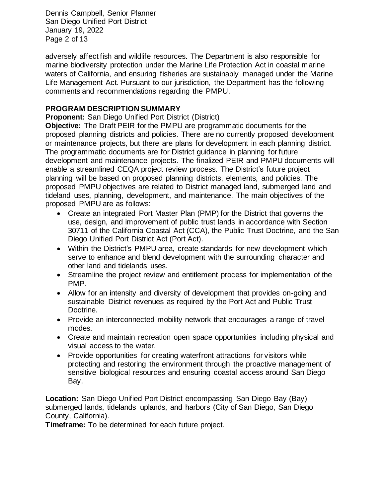Dennis Campbell, Senior Planner San Diego Unified Port District January 19, 2022 Page 2 of 13

adversely affect fish and wildlife resources. The Department is also responsible for marine biodiversity protection under the Marine Life Protection Act in coastal marine waters of California, and ensuring fisheries are sustainably managed under the Marine Life Management Act. Pursuant to our jurisdiction, the Department has the following comments and recommendations regarding the PMPU.

## **PROGRAM DESCRIPTION SUMMARY**

**Proponent:** San Diego Unified Port District (District)

**Objective:** The Draft PEIR for the PMPU are programmatic documents for the proposed planning districts and policies. There are no currently proposed development or maintenance projects, but there are plans for development in each planning district. The programmatic documents are for District guidance in planning for future development and maintenance projects. The finalized PEIR and PMPU documents will enable a streamlined CEQA project review process. The District's future project planning will be based on proposed planning districts, elements, and policies. The proposed PMPU objectives are related to District managed land, submerged land and tideland uses, planning, development, and maintenance. The main objectives of the proposed PMPU are as follows:

- Create an integrated Port Master Plan (PMP) for the District that governs the use, design, and improvement of public trust lands in accordance with Section 30711 of the California Coastal Act (CCA), the Public Trust Doctrine, and the San Diego Unified Port District Act (Port Act).
- Within the District's PMPU area, create standards for new development which serve to enhance and blend development with the surrounding character and other land and tidelands uses.
- Streamline the project review and entitlement process for implementation of the PMP.
- Allow for an intensity and diversity of development that provides on-going and sustainable District revenues as required by the Port Act and Public Trust Doctrine.
- Provide an interconnected mobility network that encourages a range of travel modes.
- Create and maintain recreation open space opportunities including physical and visual access to the water.
- Provide opportunities for creating waterfront attractions for visitors while protecting and restoring the environment through the proactive management of sensitive biological resources and ensuring coastal access around San Diego Bay.

**Location:** San Diego Unified Port District encompassing San Diego Bay (Bay) submerged lands, tidelands uplands, and harbors (City of San Diego, San Diego County, California).

**Timeframe:** To be determined for each future project.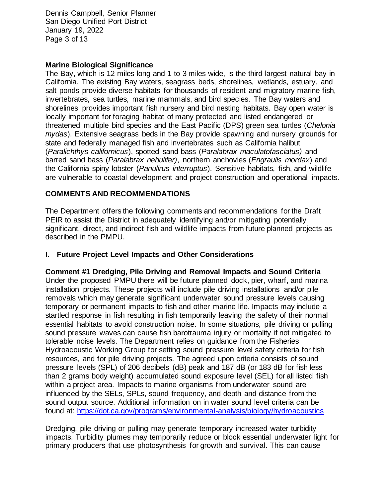Dennis Campbell, Senior Planner San Diego Unified Port District January 19, 2022 Page 3 of 13

## **Marine Biological Significance**

The Bay, which is 12 miles long and 1 to 3 miles wide, is the third largest natural bay in California. The existing Bay waters, seagrass beds, shorelines, wetlands, estuary, and salt ponds provide diverse habitats for thousands of resident and migratory marine fish, invertebrates, sea turtles, marine mammals, and bird species. The Bay waters and shorelines provides important fish nursery and bird nesting habitats. Bay open water is locally important for foraging habitat of many protected and listed endangered or threatened multiple bird species and the East Pacific (DPS) green sea turtles (*Chelonia mydas*). Extensive seagrass beds in the Bay provide spawning and nursery grounds for state and federally managed fish and invertebrates such as California halibut (*Paralichthys californicus*), spotted sand bass (*Paralabrax maculatofasciatus)* and barred sand bass (*Paralabrax nebulifer)*, northern anchovies (*Engraulis mordax*) and the California spiny lobster (*Panulirus interruptus*). Sensitive habitats, fish, and wildlife are vulnerable to coastal development and project construction and operational impacts.

## **COMMENTS AND RECOMMENDATIONS**

The Department offers the following comments and recommendations for the Draft PEIR to assist the District in adequately identifying and/or mitigating potentially significant, direct, and indirect fish and wildlife impacts from future planned projects as described in the PMPU.

### **I. Future Project Level Impacts and Other Considerations**

**Comment #1 Dredging, Pile Driving and Removal Impacts and Sound Criteria**  Under the proposed PMPU there will be future planned dock, pier, wharf, and marina installation projects. These projects will include pile driving installations and/or pile removals which may generate significant underwater sound pressure levels causing temporary or permanent impacts to fish and other marine life. Impacts may include a startled response in fish resulting in fish temporarily leaving the safety of their normal essential habitats to avoid construction noise. In some situations, pile driving or pulling sound pressure waves can cause fish barotrauma injury or mortality if not mitigated to tolerable noise levels. The Department relies on guidance from the Fisheries Hydroacoustic Working Group for setting sound pressure level safety criteria for fish resources, and for pile driving projects. The agreed upon criteria consists of sound pressure levels (SPL) of 206 decibels (dB) peak and 187 dB (or 183 dB for fish less than 2 grams body weight) accumulated sound exposure level (SEL) for all listed fish within a project area. Impacts to marine organisms from underwater sound are influenced by the SELs, SPLs, sound frequency, and depth and distance from the sound output source. Additional information on in water sound level criteria can be found at:<https://dot.ca.gov/programs/environmental-analysis/biology/hydroacoustics>

Dredging, pile driving or pulling may generate temporary increased water turbidity impacts. Turbidity plumes may temporarily reduce or block essential underwater light for primary producers that use photosynthesis for growth and survival. This can cause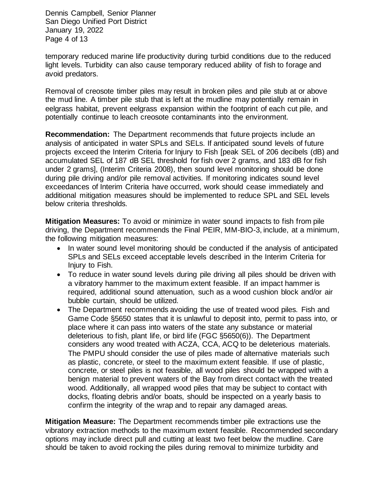Dennis Campbell, Senior Planner San Diego Unified Port District January 19, 2022 Page 4 of 13

temporary reduced marine life productivity during turbid conditions due to the reduced light levels. Turbidity can also cause temporary reduced ability of fish to forage and avoid predators.

Removal of creosote timber piles may result in broken piles and pile stub at or above the mud line. A timber pile stub that is left at the mudline may potentially remain in eelgrass habitat, prevent eelgrass expansion within the footprint of each cut pile, and potentially continue to leach creosote contaminants into the environment.

**Recommendation:** The Department recommends that future projects include an analysis of anticipated in water SPLs and SELs. If anticipated sound levels of future projects exceed the Interim Criteria for Injury to Fish [peak SEL of 206 decibels (dB) and accumulated SEL of 187 dB SEL threshold for fish over 2 grams, and 183 dB for fish under 2 grams], (Interim Criteria 2008), then sound level monitoring should be done during pile driving and/or pile removal activities. If monitoring indicates sound level exceedances of Interim Criteria have occurred, work should cease immediately and additional mitigation measures should be implemented to reduce SPL and SEL levels below criteria thresholds.

**Mitigation Measures:** To avoid or minimize in water sound impacts to fish from pile driving, the Department recommends the Final PEIR, MM-BIO-3, include, at a minimum, the following mitigation measures:

- In water sound level monitoring should be conducted if the analysis of anticipated SPLs and SELs exceed acceptable levels described in the Interim Criteria for Injury to Fish.
- To reduce in water sound levels during pile driving all piles should be driven with a vibratory hammer to the maximum extent feasible. If an impact hammer is required, additional sound attenuation, such as a wood cushion block and/or air bubble curtain, should be utilized.
- The Department recommends avoiding the use of treated wood piles. Fish and Game Code §5650 states that it is unlawful to deposit into, permit to pass into, or place where it can pass into waters of the state any substance or material deleterious to fish, plant life, or bird life (FGC §5650(6)). The Department considers any wood treated with ACZA, CCA, ACQ to be deleterious materials. The PMPU should consider the use of piles made of alternative materials such as plastic, concrete, or steel to the maximum extent feasible. If use of plastic, concrete, or steel piles is not feasible, all wood piles should be wrapped with a benign material to prevent waters of the Bay from direct contact with the treated wood. Additionally, all wrapped wood piles that may be subject to contact with docks, floating debris and/or boats, should be inspected on a yearly basis to confirm the integrity of the wrap and to repair any damaged areas.

**Mitigation Measure:** The Department recommends timber pile extractions use the vibratory extraction methods to the maximum extent feasible. Recommended secondary options may include direct pull and cutting at least two feet below the mudline. Care should be taken to avoid rocking the piles during removal to minimize turbidity and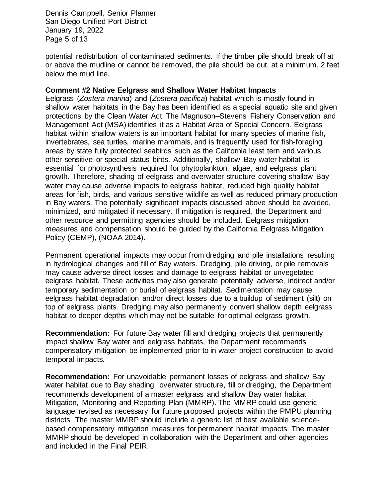Dennis Campbell, Senior Planner San Diego Unified Port District January 19, 2022 Page 5 of 13

potential redistribution of contaminated sediments. If the timber pile should break off at or above the mudline or cannot be removed, the pile should be cut, at a minimum, 2 feet below the mud line.

### **Comment #2 Native Eelgrass and Shallow Water Habitat Impacts**

Eelgrass (*Zostera marina*) and (*Zostera pacifica*) habitat which is mostly found in shallow water habitats in the Bay has been identified as a special aquatic site and given protections by the Clean Water Act. The Magnuson–Stevens Fishery Conservation and Management Act (MSA) identifies it as a Habitat Area of Special Concern. Eelgrass habitat within shallow waters is an important habitat for many species of marine fish, invertebrates, sea turtles, marine mammals, and is frequently used for fish-foraging areas by state fully protected seabirds such as the California least tern and various other sensitive or special status birds. Additionally, shallow Bay water habitat is essential for photosynthesis required for phytoplankton, algae, and eelgrass plant growth. Therefore, shading of eelgrass and overwater structure covering shallow Bay water may cause adverse impacts to eelgrass habitat, reduced high quality habitat areas for fish, birds, and various sensitive wildlife as well as reduced primary production in Bay waters. The potentially significant impacts discussed above should be avoided, minimized, and mitigated if necessary. If mitigation is required, the Department and other resource and permitting agencies should be included. Eelgrass mitigation measures and compensation should be guided by the California Eelgrass Mitigation Policy (CEMP), (NOAA 2014).

Permanent operational impacts may occur from dredging and pile installations resulting in hydrological changes and fill of Bay waters. Dredging, pile driving, or pile removals may cause adverse direct losses and damage to eelgrass habitat or unvegetated eelgrass habitat. These activities may also generate potentially adverse, indirect and/or temporary sedimentation or burial of eelgrass habitat. Sedimentation may cause eelgrass habitat degradation and/or direct losses due to a buildup of sediment (silt) on top of eelgrass plants. Dredging may also permanently convert shallow depth eelgrass habitat to deeper depths which may not be suitable for optimal eelgrass growth.

**Recommendation:** For future Bay water fill and dredging projects that permanently impact shallow Bay water and eelgrass habitats, the Department recommends compensatory mitigation be implemented prior to in water project construction to avoid temporal impacts.

**Recommendation:** For unavoidable permanent losses of eelgrass and shallow Bay water habitat due to Bay shading, overwater structure, fill or dredging, the Department recommends development of a master eelgrass and shallow Bay water habitat Mitigation, Monitoring and Reporting Plan (MMRP). The MMRP could use generic language revised as necessary for future proposed projects within the PMPU planning districts. The master MMRP should include a generic list of best available sciencebased compensatory mitigation measures for permanent habitat impacts. The master MMRP should be developed in collaboration with the Department and other agencies and included in the Final PEIR.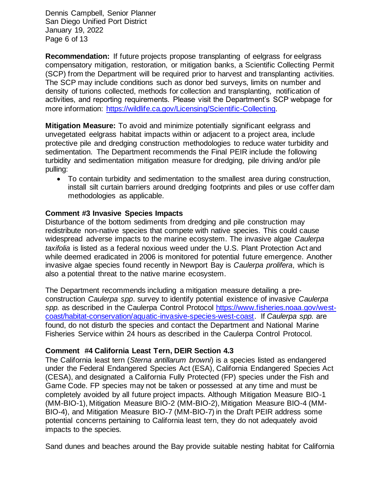Dennis Campbell, Senior Planner San Diego Unified Port District January 19, 2022 Page 6 of 13

**Recommendation:** If future projects propose transplanting of eelgrass for eelgrass compensatory mitigation, restoration, or mitigation banks, a Scientific Collecting Permit (SCP) from the Department will be required prior to harvest and transplanting activities. The SCP may include conditions such as donor bed surveys, limits on number and density of turions collected, methods for collection and transplanting, notification of activities, and reporting requirements. Please visit the Department's SCP webpage for more information: [https://wildlife.ca.gov/Licensing/Scientific-Collecting.](https://wildlife.ca.gov/Licensing/Scientific-Collecting)

**Mitigation Measure:** To avoid and minimize potentially significant eelgrass and unvegetated eelgrass habitat impacts within or adjacent to a project area, include protective pile and dredging construction methodologies to reduce water turbidity and sedimentation. The Department recommends the Final PEIR include the following turbidity and sedimentation mitigation measure for dredging, pile driving and/or pile pulling:

• To contain turbidity and sedimentation to the smallest area during construction, install silt curtain barriers around dredging footprints and piles or use coffer dam methodologies as applicable.

## **Comment #3 Invasive Species Impacts**

Disturbance of the bottom sediments from dredging and pile construction may redistribute non-native species that compete with native species. This could cause widespread adverse impacts to the marine ecosystem. The invasive algae *Caulerpa taxifolia* is listed as a federal noxious weed under the U.S. Plant Protection Act and while deemed eradicated in 2006 is monitored for potential future emergence. Another invasive algae species found recently in Newport Bay is *Caulerpa prolifera*, which is also a potential threat to the native marine ecosystem.

The Department recommends including a mitigation measure detailing a preconstruction *Caulerpa spp*. survey to identify potential existence of invasive *Caulerpa*  spp. as described in the Caulerpa Control Protocol [https://www.fisheries.noaa.gov/west](https://www.fisheries.noaa.gov/west-coast/habitat-conservation/aquatic-invasive-species-west-coast)[coast/habitat-conservation/aquatic-invasive-species-west-coast.](https://www.fisheries.noaa.gov/west-coast/habitat-conservation/aquatic-invasive-species-west-coast) If *Caulerpa spp.* are found, do not disturb the species and contact the Department and National Marine Fisheries Service within 24 hours as described in the Caulerpa Control Protocol.

### **Comment #4 California Least Tern, DEIR Section 4.3**

The California least tern (*Sterna antillarum browni*) is a species listed as endangered under the Federal Endangered Species Act (ESA), California Endangered Species Act (CESA), and designated a California Fully Protected (FP) species under the Fish and Game Code. FP species may not be taken or possessed at any time and must be completely avoided by all future project impacts. Although Mitigation Measure BIO-1 (MM-BIO-1), Mitigation Measure BIO-2 (MM-BIO-2), Mitigation Measure BIO-4 (MM-BIO-4), and Mitigation Measure BIO-7 (MM-BIO-7) in the Draft PEIR address some potential concerns pertaining to California least tern, they do not adequately avoid impacts to the species.

Sand dunes and beaches around the Bay provide suitable nesting habitat for California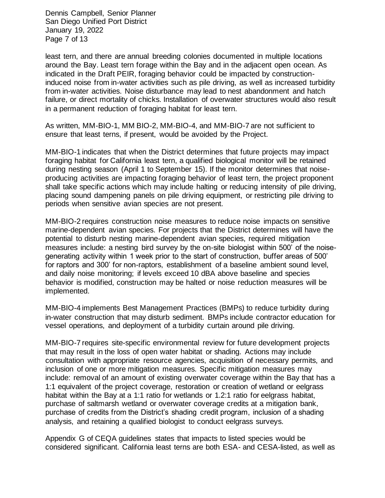Dennis Campbell, Senior Planner San Diego Unified Port District January 19, 2022 Page 7 of 13

least tern, and there are annual breeding colonies documented in multiple locations around the Bay. Least tern forage within the Bay and in the adjacent open ocean. As indicated in the Draft PEIR, foraging behavior could be impacted by constructioninduced noise from in-water activities such as pile driving, as well as increased turbidity from in-water activities. Noise disturbance may lead to nest abandonment and hatch failure, or direct mortality of chicks. Installation of overwater structures would also result in a permanent reduction of foraging habitat for least tern.

As written, MM-BIO-1, MM BIO-2, MM-BIO-4, and MM-BIO-7 are not sufficient to ensure that least terns, if present, would be avoided by the Project.

MM-BIO-1 indicates that when the District determines that future projects may impact foraging habitat for California least tern, a qualified biological monitor will be retained during nesting season (April 1 to September 15). If the monitor determines that noiseproducing activities are impacting foraging behavior of least tern, the project proponent shall take specific actions which may include halting or reducing intensity of pile driving, placing sound dampening panels on pile driving equipment, or restricting pile driving to periods when sensitive avian species are not present.

MM-BIO-2 requires construction noise measures to reduce noise impacts on sensitive marine-dependent avian species. For projects that the District determines will have the potential to disturb nesting marine-dependent avian species, required mitigation measures include: a nesting bird survey by the on-site biologist within 500' of the noisegenerating activity within 1 week prior to the start of construction, buffer areas of 500' for raptors and 300' for non-raptors, establishment of a baseline ambient sound level, and daily noise monitoring; if levels exceed 10 dBA above baseline and species behavior is modified, construction may be halted or noise reduction measures will be implemented.

MM-BIO-4 implements Best Management Practices (BMPs) to reduce turbidity during in-water construction that may disturb sediment. BMPs include contractor education for vessel operations, and deployment of a turbidity curtain around pile driving.

MM-BIO-7 requires site-specific environmental review for future development projects that may result in the loss of open water habitat or shading. Actions may include consultation with appropriate resource agencies, acquisition of necessary permits, and inclusion of one or more mitigation measures. Specific mitigation measures may include: removal of an amount of existing overwater coverage within the Bay that has a 1:1 equivalent of the project coverage, restoration or creation of wetland or eelgrass habitat within the Bay at a 1:1 ratio for wetlands or 1.2:1 ratio for eelgrass habitat, purchase of saltmarsh wetland or overwater coverage credits at a mitigation bank, purchase of credits from the District's shading credit program, inclusion of a shading analysis, and retaining a qualified biologist to conduct eelgrass surveys.

Appendix G of CEQA guidelines states that impacts to listed species would be considered significant. California least terns are both ESA- and CESA-listed, as well as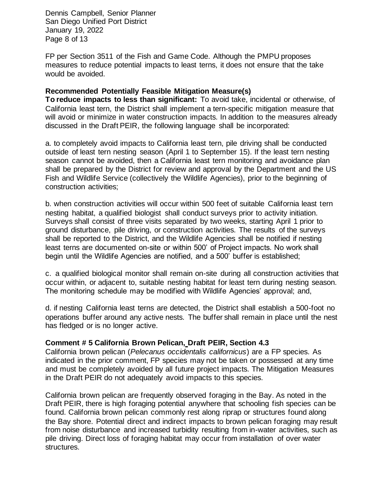Dennis Campbell, Senior Planner San Diego Unified Port District January 19, 2022 Page 8 of 13

FP per Section 3511 of the Fish and Game Code. Although the PMPU proposes measures to reduce potential impacts to least terns, it does not ensure that the take would be avoided.

## **Recommended Potentially Feasible Mitigation Measure(s)**

**To reduce impacts to less than significant:** To avoid take, incidental or otherwise, of California least tern, the District shall implement a tern-specific mitigation measure that will avoid or minimize in water construction impacts. In addition to the measures already discussed in the Draft PEIR, the following language shall be incorporated:

a. to completely avoid impacts to California least tern, pile driving shall be conducted outside of least tern nesting season (April 1 to September 15). If the least tern nesting season cannot be avoided, then a California least tern monitoring and avoidance plan shall be prepared by the District for review and approval by the Department and the US Fish and Wildlife Service (collectively the Wildlife Agencies), prior to the beginning of construction activities;

b. when construction activities will occur within 500 feet of suitable California least tern nesting habitat, a qualified biologist shall conduct surveys prior to activity initiation. Surveys shall consist of three visits separated by two weeks, starting April 1 prior to ground disturbance, pile driving, or construction activities. The results of the surveys shall be reported to the District, and the Wildlife Agencies shall be notified if nesting least terns are documented on-site or within 500' of Project impacts. No work shall begin until the Wildlife Agencies are notified, and a 500' buffer is established;

c. a qualified biological monitor shall remain on-site during all construction activities that occur within, or adjacent to, suitable nesting habitat for least tern during nesting season. The monitoring schedule may be modified with Wildlife Agencies' approval; and,

d. if nesting California least terns are detected, the District shall establish a 500-foot no operations buffer around any active nests. The buffer shall remain in place until the nest has fledged or is no longer active.

### **Comment # 5 California Brown Pelican, Draft PEIR, Section 4.3**

California brown pelican (*Pelecanus occidentalis californicus*) are a FP species. As indicated in the prior comment, FP species may not be taken or possessed at any time and must be completely avoided by all future project impacts. The Mitigation Measures in the Draft PEIR do not adequately avoid impacts to this species.

California brown pelican are frequently observed foraging in the Bay. As noted in the Draft PEIR, there is high foraging potential anywhere that schooling fish species can be found. California brown pelican commonly rest along riprap or structures found along the Bay shore. Potential direct and indirect impacts to brown pelican foraging may result from noise disturbance and increased turbidity resulting from in-water activities, such as pile driving. Direct loss of foraging habitat may occur from installation of over water structures.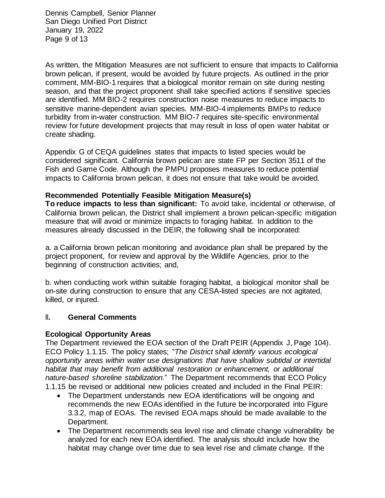Dennis Campbell, Senior Planner San Diego Unified Port District January 19, 2022 Page 9 of 13

As written, the Mitigation Measures are not sufficient to ensure that impacts to California brown pelican, if present, would be avoided by future projects. As outlined in the prior comment, MM-BIO-1 requires that a biological monitor remain on site during nesting season, and that the project proponent shall take specified actions if sensitive species are identified. MM BIO-2 requires construction noise measures to reduce impacts to sensitive marine-dependent avian species. MM-BIO-4 implements BMPs to reduce turbidity from in-water construction. MM BIO-7 requires site-specific environmental review for future development projects that may result in loss of open water habitat or create shading.

Appendix G of CEQA guidelines states that impacts to listed species would be considered significant. California brown pelican are state FP per Section 3511 of the Fish and Game Code. Although the PMPU proposes measures to reduce potential impacts to California brown pelican, it does not ensure that take would be avoided.

## **Recommended Potentially Feasible Mitigation Measure(s)**

**To reduce impacts to less than significant:** To avoid take, incidental or otherwise, of California brown pelican, the District shall implement a brown pelican-specific mitigation measure that will avoid or minimize impacts to foraging habitat. In addition to the measures already discussed in the DEIR, the following shall be incorporated:

a. a California brown pelican monitoring and avoidance plan shall be prepared by the project proponent, for review and approval by the Wildlife Agencies, prior to the beginning of construction activities; and,

b. when conducting work within suitable foraging habitat, a biological monitor shall be on-site during construction to ensure that any CESA-listed species are not agitated, killed, or injured.

### ll**. General Comments**

### **Ecological Opportunity Areas**

The Department reviewed the EOA section of the Draft PEIR (Appendix J, Page 104). ECO Policy 1.1.15. The policy states; "*The District shall identify various ecological opportunity areas within water use designations that have shallow subtidal or intertidal habitat that may benefit from additional restoration or enhancement, or additional nature-based shoreline stabilization.*" The Department recommends that ECO Policy 1.1.15 be revised or additional new policies created and included in the Final PEIR:

- The Department understands new EOA identifications will be ongoing and recommends the new EOAs identified in the future be incorporated into Figure 3.3.2, map of EOAs. The revised EOA maps should be made available to the Department.
- The Department recommends sea level rise and climate change vulnerability be analyzed for each new EOA identified. The analysis should include how the habitat may change over time due to sea level rise and climate change. If the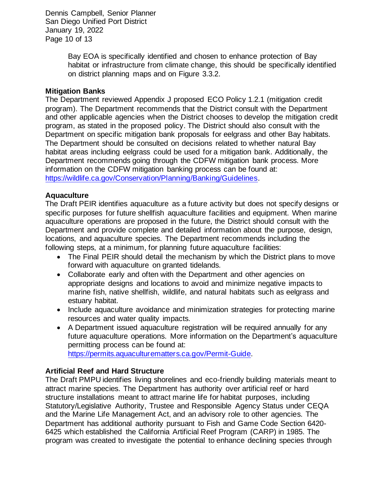Dennis Campbell, Senior Planner San Diego Unified Port District January 19, 2022 Page 10 of 13

> Bay EOA is specifically identified and chosen to enhance protection of Bay habitat or infrastructure from climate change, this should be specifically identified on district planning maps and on Figure 3.3.2.

## **Mitigation Banks**

The Department reviewed Appendix J proposed ECO Policy 1.2.1 (mitigation credit program). The Department recommends that the District consult with the Department and other applicable agencies when the District chooses to develop the mitigation credit program, as stated in the proposed policy. The District should also consult with the Department on specific mitigation bank proposals for eelgrass and other Bay habitats. The Department should be consulted on decisions related to whether natural Bay habitat areas including eelgrass could be used for a mitigation bank. Additionally, the Department recommends going through the CDFW mitigation bank process. More information on the CDFW mitigation banking process can be found at: [https://wildlife.ca.gov/Conservation/Planning/Banking/Guidelines.](https://wildlife.ca.gov/Conservation/Planning/Banking/Guidelines)

## **Aquaculture**

The Draft PEIR identifies aquaculture as a future activity but does not specify designs or specific purposes for future shellfish aquaculture facilities and equipment. When marine aquaculture operations are proposed in the future, the District should consult with the Department and provide complete and detailed information about the purpose, design, locations, and aquaculture species. The Department recommends including the following steps, at a minimum, for planning future aquaculture facilities:

- The Final PEIR should detail the mechanism by which the District plans to move forward with aquaculture on granted tidelands.
- Collaborate early and often with the Department and other agencies on appropriate designs and locations to avoid and minimize negative impacts to marine fish, native shellfish, wildlife, and natural habitats such as eelgrass and estuary habitat.
- Include aquaculture avoidance and minimization strategies for protecting marine resources and water quality impacts.
- A Department issued aquaculture registration will be required annually for any future aquaculture operations. More information on the Department's aquaculture permitting process can be found at: [https://permits.aquaculturematters.ca.gov/Permit-Guide.](https://permits.aquaculturematters.ca.gov/Permit-Guide)

## **Artificial Reef and Hard Structure**

The Draft PMPU identifies living shorelines and eco-friendly building materials meant to attract marine species. The Department has authority over artificial reef or hard structure installations meant to attract marine life for habitat purposes, including Statutory/Legislative Authority, Trustee and Responsible Agency Status under CEQA and the Marine Life Management Act, and an advisory role to other agencies. The Department has additional authority pursuant to Fish and Game Code Section 6420- 6425 which established the California Artificial Reef Program (CARP) in 1985. The program was created to investigate the potential to enhance declining species through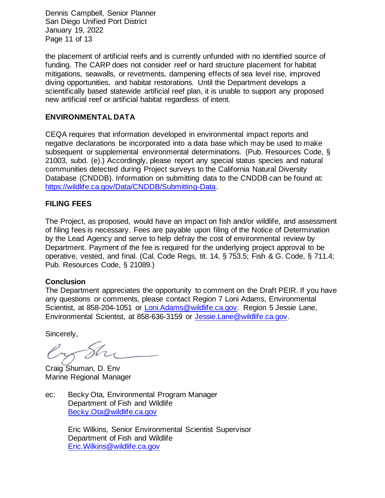Dennis Campbell, Senior Planner San Diego Unified Port District January 19, 2022 Page 11 of 13

the placement of artificial reefs and is currently unfunded with no identified source of funding. The CARP does not consider reef or hard structure placement for habitat mitigations, seawalls, or revetments, dampening effects of sea level rise, improved diving opportunities, and habitat restorations. Until the Department develops a scientifically based statewide artificial reef plan, it is unable to support any proposed new artificial reef or artificial habitat regardless of intent.

## **ENVIRONMENTAL DATA**

CEQA requires that information developed in environmental impact reports and negative declarations be incorporated into a data base which may be used to make subsequent or supplemental environmental determinations. (Pub. Resources Code, § 21003, subd. (e).) Accordingly, please report any special status species and natural communities detected during Project surveys to the California Natural Diversity Database (CNDDB). Information on submitting data to the CNDDB can be found at: [https://wildlife.ca.gov/Data/CNDDB/Submitting-Data.](https://wildlife.ca.gov/Data/CNDDB/Submitting-Data)

## **FILING FEES**

The Project, as proposed, would have an impact on fish and/or wildlife, and assessment of filing fees is necessary. Fees are payable upon filing of the Notice of Determination by the Lead Agency and serve to help defray the cost of environmental review by Department. Payment of the fee is required for the underlying project approval to be operative, vested, and final. (Cal. Code Regs, tit. 14, § 753.5; Fish & G. Code, § 711.4; Pub. Resources Code, § 21089.)

### **Conclusion**

The Department appreciates the opportunity to comment on the Draft PEIR. If you have any questions or comments, please contact Region 7 Loni Adams, Environmental Scientist, at 858-204-1051 or [Loni.Adams@wildlife.ca.gov.](file:///C:/Users/EWilkins/AppData/Local/Microsoft/Windows/INetCache/Content.Outlook/R6VXTREN/Loni.Adams@wildlife.ca.gov) Region 5 Jessie Lane, Environmental Scientist, at 858-636-3159 or [Jessie.Lane@wildlife.ca.gov.](file:///C:/Users/EWilkins/AppData/Local/Microsoft/Windows/INetCache/Content.Outlook/R6VXTREN/Jessie.Lane@wildlife.ca.gov)

Sincerely,

Craig Shuman, D. Env Marine Regional Manager

ec: Becky Ota, Environmental Program Manager Department of Fish and Wildlife [Becky.Ota@wildlife.ca.gov](file:///C:/Users/EWilkins/AppData/Local/Microsoft/Windows/INetCache/Content.Outlook/R6VXTREN/Becky.Ota@wildlife.ca.gov)

> Eric Wilkins, Senior Environmental Scientist Supervisor Department of Fish and Wildlife [Eric.Wilkins@wildlife.ca.gov](mailto:Eric.Wilkins@wildlife.ca.gov)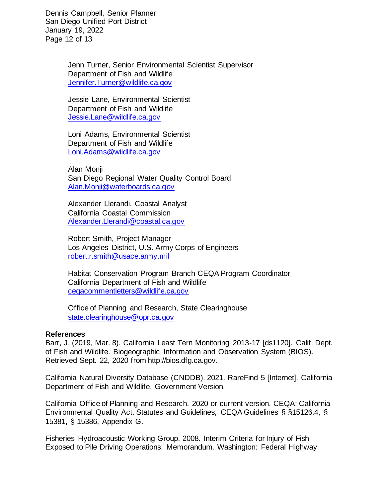Dennis Campbell, Senior Planner San Diego Unified Port District January 19, 2022 Page 12 of 13

> Jenn Turner, Senior Environmental Scientist Supervisor Department of Fish and Wildlife [Jennifer.Turner@wildlife.ca.gov](file:///C:/Users/EWilkins/AppData/Local/Microsoft/Windows/INetCache/Content.Outlook/R6VXTREN/Jennifer.Turner@wildlife.ca.gov)

Jessie Lane, Environmental Scientist Department of Fish and Wildlife [Jessie.Lane@wildlife.ca.gov](mailto:Jessie.Lane@wildlife.ca.gov)

Loni Adams, Environmental Scientist Department of Fish and Wildlife [Loni.Adams@wildlife.ca.gov](mailto:Loni.Adams@wildlife.ca.gov)

Alan Monji San Diego Regional Water Quality Control Board [Alan.Monji@waterboards.ca.gov](mailto:Alan.Monji@waterboards.ca.gov)

Alexander Llerandi, Coastal Analyst California Coastal Commission [Alexander.Llerandi@coastal.ca.gov](file:///C:/Users/EWilkins/AppData/Local/Microsoft/Windows/INetCache/Content.Outlook/R6VXTREN/Alexander.Llerandi@coastal.ca.gov)

Robert Smith, Project Manager Los Angeles District, U.S. Army Corps of Engineers [robert.r.smith@usace.army.mil](mailto:robert.r.smith@usace.army.mil)

Habitat Conservation Program Branch CEQA Program Coordinator California Department of Fish and Wildlife [ceqacommentletters@wildlife.ca.gov](mailto:ceqacommentletters@wildlife.ca.gov)

Office of Planning and Research, State Clearinghouse [state.clearinghouse@opr.ca.gov](mailto:state.clearinghouse@opr.ca.gov)

### **References**

Barr, J. (2019, Mar. 8). California Least Tern Monitoring 2013-17 [ds1120]. Calif. Dept. of Fish and Wildlife. Biogeographic Information and Observation System (BIOS). Retrieved Sept. 22, 2020 from http://bios.dfg.ca.gov.

California Natural Diversity Database (CNDDB). 2021. RareFind 5 [Internet]. California Department of Fish and Wildlife, Government Version.

California Office of Planning and Research. 2020 or current version. CEQA: California Environmental Quality Act. Statutes and Guidelines, CEQA Guidelines § §15126.4, § 15381, § 15386, Appendix G.

Fisheries Hydroacoustic Working Group. 2008. Interim Criteria for Injury of Fish Exposed to Pile Driving Operations: Memorandum. Washington: Federal Highway